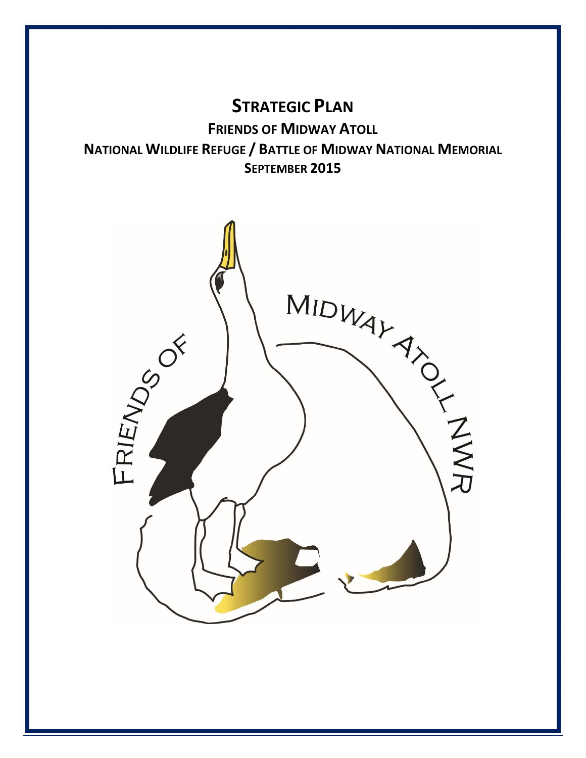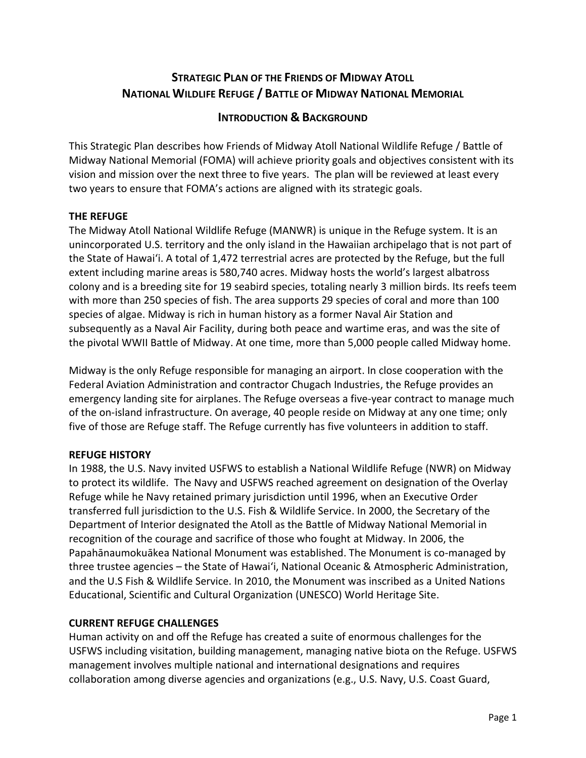# **STRATEGIC PLAN OF THE FRIENDS OF MIDWAY ATOLL NATIONAL WILDLIFE REFUGE / BATTLE OF MIDWAY NATIONAL MEMORIAL**

# **INTRODUCTION & BACKGROUND**

This Strategic Plan describes how Friends of Midway Atoll National Wildlife Refuge / Battle of Midway National Memorial (FOMA) will achieve priority goals and objectives consistent with its vision and mission over the next three to five years. The plan will be reviewed at least every two years to ensure that FOMA's actions are aligned with its strategic goals.

# **THE REFUGE**

The Midway Atoll National Wildlife Refuge (MANWR) is unique in the Refuge system. It is an unincorporated U.S. territory and the only island in the Hawaiian archipelago that is not part of the State of Hawai'i. A total of 1,472 terrestrial acres are protected by the Refuge, but the full extent including marine areas is 580,740 acres. Midway hosts the world's largest albatross colony and is a breeding site for 19 seabird species, totaling nearly 3 million birds. Its reefs teem with more than 250 species of fish. The area supports 29 species of coral and more than 100 species of algae. Midway is rich in human history as a former Naval Air Station and subsequently as a Naval Air Facility, during both peace and wartime eras, and was the site of the pivotal WWII Battle of Midway. At one time, more than 5,000 people called Midway home.

Midway is the only Refuge responsible for managing an airport. In close cooperation with the Federal Aviation Administration and contractor Chugach Industries, the Refuge provides an emergency landing site for airplanes. The Refuge overseas a five-year contract to manage much of the on-island infrastructure. On average, 40 people reside on Midway at any one time; only five of those are Refuge staff. The Refuge currently has five volunteers in addition to staff.

# **REFUGE HISTORY**

In 1988, the U.S. Navy invited USFWS to establish a National Wildlife Refuge (NWR) on Midway to protect its wildlife. The Navy and USFWS reached agreement on designation of the Overlay Refuge while he Navy retained primary jurisdiction until 1996, when an Executive Order transferred full jurisdiction to the U.S. Fish & Wildlife Service. In 2000, the Secretary of the Department of Interior designated the Atoll as the Battle of Midway National Memorial in recognition of the courage and sacrifice of those who fought at Midway. In 2006, the Papahānaumokuākea National Monument was established. The Monument is co-managed by three trustee agencies – the State of Hawai'i, National Oceanic & Atmospheric Administration, and the U.S Fish & Wildlife Service. In 2010, the Monument was inscribed as a United Nations Educational, Scientific and Cultural Organization (UNESCO) World Heritage Site.

# **CURRENT REFUGE CHALLENGES**

Human activity on and off the Refuge has created a suite of enormous challenges for the USFWS including visitation, building management, managing native biota on the Refuge. USFWS management involves multiple national and international designations and requires collaboration among diverse agencies and organizations (e.g., U.S. Navy, U.S. Coast Guard,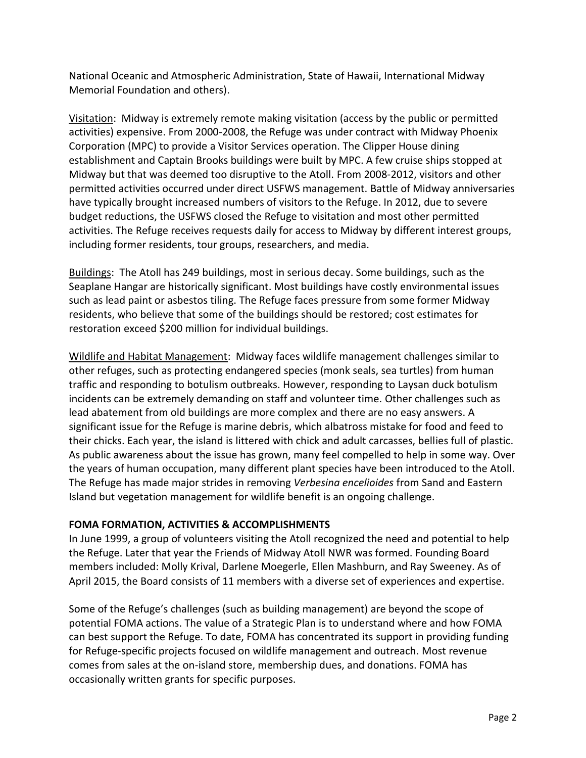National Oceanic and Atmospheric Administration, State of Hawaii, International Midway Memorial Foundation and others).

Visitation: Midway is extremely remote making visitation (access by the public or permitted activities) expensive. From 2000-2008, the Refuge was under contract with Midway Phoenix Corporation (MPC) to provide a Visitor Services operation. The Clipper House dining establishment and Captain Brooks buildings were built by MPC. A few cruise ships stopped at Midway but that was deemed too disruptive to the Atoll. From 2008-2012, visitors and other permitted activities occurred under direct USFWS management. Battle of Midway anniversaries have typically brought increased numbers of visitors to the Refuge. In 2012, due to severe budget reductions, the USFWS closed the Refuge to visitation and most other permitted activities. The Refuge receives requests daily for access to Midway by different interest groups, including former residents, tour groups, researchers, and media.

Buildings: The Atoll has 249 buildings, most in serious decay. Some buildings, such as the Seaplane Hangar are historically significant. Most buildings have costly environmental issues such as lead paint or asbestos tiling. The Refuge faces pressure from some former Midway residents, who believe that some of the buildings should be restored; cost estimates for restoration exceed \$200 million for individual buildings.

Wildlife and Habitat Management: Midway faces wildlife management challenges similar to other refuges, such as protecting endangered species (monk seals, sea turtles) from human traffic and responding to botulism outbreaks. However, responding to Laysan duck botulism incidents can be extremely demanding on staff and volunteer time. Other challenges such as lead abatement from old buildings are more complex and there are no easy answers. A significant issue for the Refuge is marine debris, which albatross mistake for food and feed to their chicks. Each year, the island is littered with chick and adult carcasses, bellies full of plastic. As public awareness about the issue has grown, many feel compelled to help in some way. Over the years of human occupation, many different plant species have been introduced to the Atoll. The Refuge has made major strides in removing *Verbesina encelioides* from Sand and Eastern Island but vegetation management for wildlife benefit is an ongoing challenge.

# **FOMA FORMATION, ACTIVITIES & ACCOMPLISHMENTS**

In June 1999, a group of volunteers visiting the Atoll recognized the need and potential to help the Refuge. Later that year the Friends of Midway Atoll NWR was formed. Founding Board members included: Molly Krival, Darlene Moegerle, Ellen Mashburn, and Ray Sweeney. As of April 2015, the Board consists of 11 members with a diverse set of experiences and expertise.

Some of the Refuge's challenges (such as building management) are beyond the scope of potential FOMA actions. The value of a Strategic Plan is to understand where and how FOMA can best support the Refuge. To date, FOMA has concentrated its support in providing funding for Refuge-specific projects focused on wildlife management and outreach. Most revenue comes from sales at the on-island store, membership dues, and donations. FOMA has occasionally written grants for specific purposes.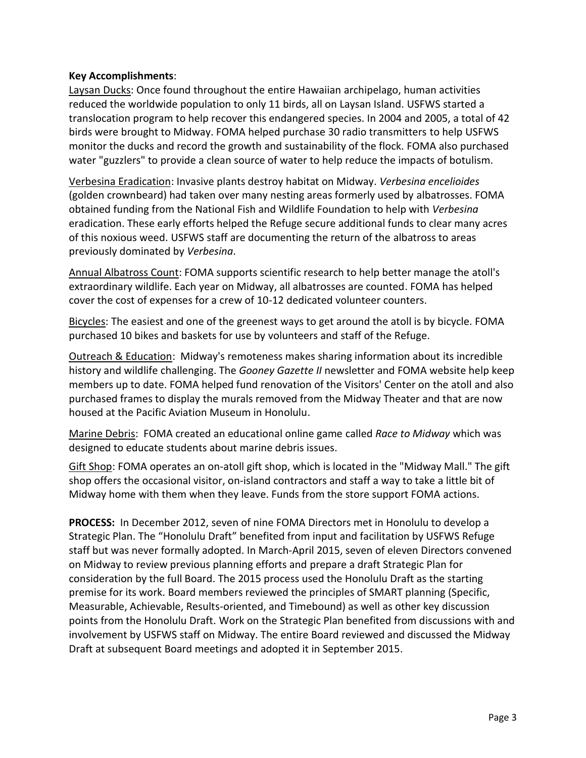#### **Key Accomplishments**:

Laysan Ducks: Once found throughout the entire Hawaiian archipelago, human activities reduced the worldwide population to only 11 birds, all on Laysan Island. USFWS started a translocation program to help recover this endangered species. In 2004 and 2005, a total of 42 birds were brought to Midway. FOMA helped purchase 30 radio transmitters to help USFWS monitor the ducks and record the growth and sustainability of the flock. FOMA also purchased water "guzzlers" to provide a clean source of water to help reduce the impacts of botulism.

Verbesina Eradication: Invasive plants destroy habitat on Midway. *Verbesina encelioides* (golden crownbeard) had taken over many nesting areas formerly used by albatrosses. FOMA obtained funding from the National Fish and Wildlife Foundation to help with *Verbesina* eradication. These early efforts helped the Refuge secure additional funds to clear many acres of this noxious weed. USFWS staff are documenting the return of the albatross to areas previously dominated by *Verbesina*.

Annual Albatross Count: FOMA supports scientific research to help better manage the atoll's extraordinary wildlife. Each year on Midway, all albatrosses are counted. FOMA has helped cover the cost of expenses for a crew of 10-12 dedicated volunteer counters.

Bicycles: The easiest and one of the greenest ways to get around the atoll is by bicycle. FOMA purchased 10 bikes and baskets for use by volunteers and staff of the Refuge.

Outreach & Education: Midway's remoteness makes sharing information about its incredible history and wildlife challenging. The *Gooney Gazette II* newsletter and FOMA website help keep members up to date. FOMA helped fund renovation of the Visitors' Center on the atoll and also purchased frames to display the murals removed from the Midway Theater and that are now housed at the Pacific Aviation Museum in Honolulu.

Marine Debris: FOMA created an educational online game called *Race to Midway* which was designed to educate students about marine debris issues.

Gift Shop: FOMA operates an on-atoll gift shop, which is located in the "Midway Mall." The gift shop offers the occasional visitor, on-island contractors and staff a way to take a little bit of Midway home with them when they leave. Funds from the store support FOMA actions.

**PROCESS:** In December 2012, seven of nine FOMA Directors met in Honolulu to develop a Strategic Plan. The "Honolulu Draft" benefited from input and facilitation by USFWS Refuge staff but was never formally adopted. In March-April 2015, seven of eleven Directors convened on Midway to review previous planning efforts and prepare a draft Strategic Plan for consideration by the full Board. The 2015 process used the Honolulu Draft as the starting premise for its work. Board members reviewed the principles of SMART planning (Specific, Measurable, Achievable, Results-oriented, and Timebound) as well as other key discussion points from the Honolulu Draft. Work on the Strategic Plan benefited from discussions with and involvement by USFWS staff on Midway. The entire Board reviewed and discussed the Midway Draft at subsequent Board meetings and adopted it in September 2015.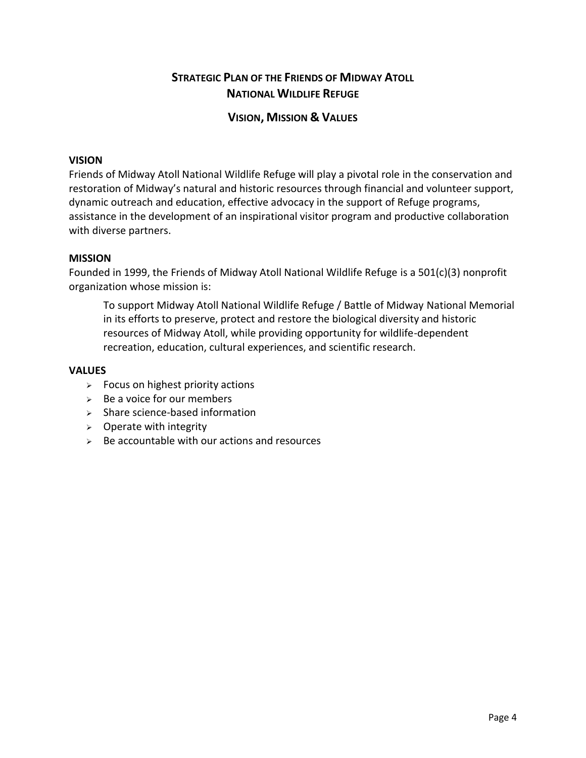# **STRATEGIC PLAN OF THE FRIENDS OF MIDWAY ATOLL NATIONAL WILDLIFE REFUGE**

# **VISION, MISSION & VALUES**

#### **VISION**

Friends of Midway Atoll National Wildlife Refuge will play a pivotal role in the conservation and restoration of Midway's natural and historic resources through financial and volunteer support, dynamic outreach and education, effective advocacy in the support of Refuge programs, assistance in the development of an inspirational visitor program and productive collaboration with diverse partners.

#### **MISSION**

Founded in 1999, the Friends of Midway Atoll National Wildlife Refuge is a 501(c)(3) nonprofit organization whose mission is:

To support Midway Atoll National Wildlife Refuge / Battle of Midway National Memorial in its efforts to preserve, protect and restore the biological diversity and historic resources of Midway Atoll, while providing opportunity for wildlife-dependent recreation, education, cultural experiences, and scientific research.

#### **VALUES**

- $\geq$  Focus on highest priority actions
- $\geq$  Be a voice for our members
- $\triangleright$  Share science-based information
- $\triangleright$  Operate with integrity
- $\geq$  Be accountable with our actions and resources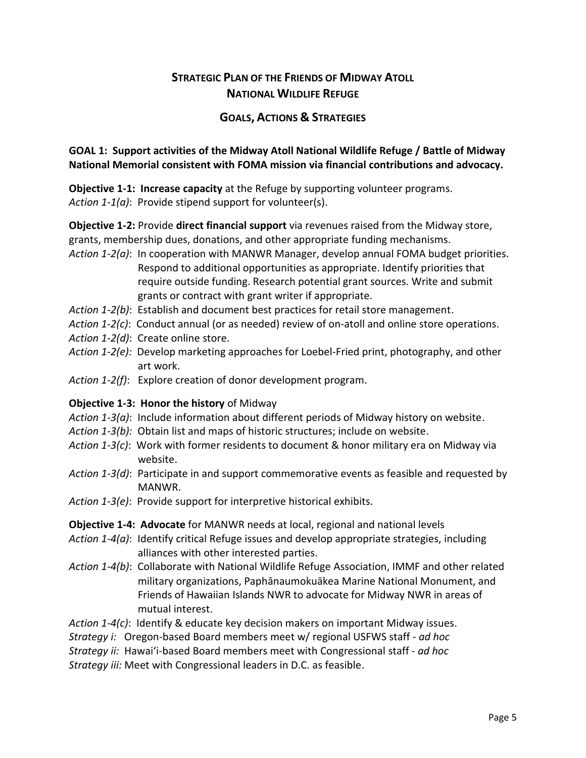# **STRATEGIC PLAN OF THE FRIENDS OF MIDWAY ATOLL NATIONAL WILDLIFE REFUGE**

# **GOALS, ACTIONS & STRATEGIES**

# **GOAL 1: Support activities of the Midway Atoll National Wildlife Refuge / Battle of Midway National Memorial consistent with FOMA mission via financial contributions and advocacy.**

**Objective 1-1: Increase capacity** at the Refuge by supporting volunteer programs. *Action 1-1(a)*: Provide stipend support for volunteer(s).

**Objective 1-2:** Provide **direct financial support** via revenues raised from the Midway store, grants, membership dues, donations, and other appropriate funding mechanisms.

- *Action 1-2(a)*: In cooperation with MANWR Manager, develop annual FOMA budget priorities. Respond to additional opportunities as appropriate. Identify priorities that require outside funding. Research potential grant sources. Write and submit grants or contract with grant writer if appropriate.
- *Action 1-2(b)*: Establish and document best practices for retail store management.
- *Action 1-2(c)*: Conduct annual (or as needed) review of on-atoll and online store operations.
- *Action 1-2(d)*: Create online store.
- *Action 1-2(e):* Develop marketing approaches for Loebel-Fried print, photography, and other art work.
- *Action 1-2(f)*: Explore creation of donor development program.

# **Objective 1-3: Honor the history** of Midway

- *Action 1-3(a)*: Include information about different periods of Midway history on website.
- *Action 1-3(b):* Obtain list and maps of historic structures; include on website.
- *Action 1-3(c)*: Work with former residents to document & honor military era on Midway via website.
- *Action 1-3(d)*: Participate in and support commemorative events as feasible and requested by MANWR.
- *Action 1-3(e)*: Provide support for interpretive historical exhibits.
- **Objective 1-4: Advocate** for MANWR needs at local, regional and national levels
- *Action 1-4(a)*: Identify critical Refuge issues and develop appropriate strategies, including alliances with other interested parties.
- *Action 1-4(b)*: Collaborate with National Wildlife Refuge Association, IMMF and other related military organizations, Paphānaumokuākea Marine National Monument, and Friends of Hawaiian Islands NWR to advocate for Midway NWR in areas of mutual interest.
- *Action 1-4(c)*: Identify & educate key decision makers on important Midway issues.
- *Strategy i:* Oregon-based Board members meet w/ regional USFWS staff *ad hoc*
- *Strategy ii:* Hawai'i-based Board members meet with Congressional staff *ad hoc*

*Strategy iii:* Meet with Congressional leaders in D.C. as feasible.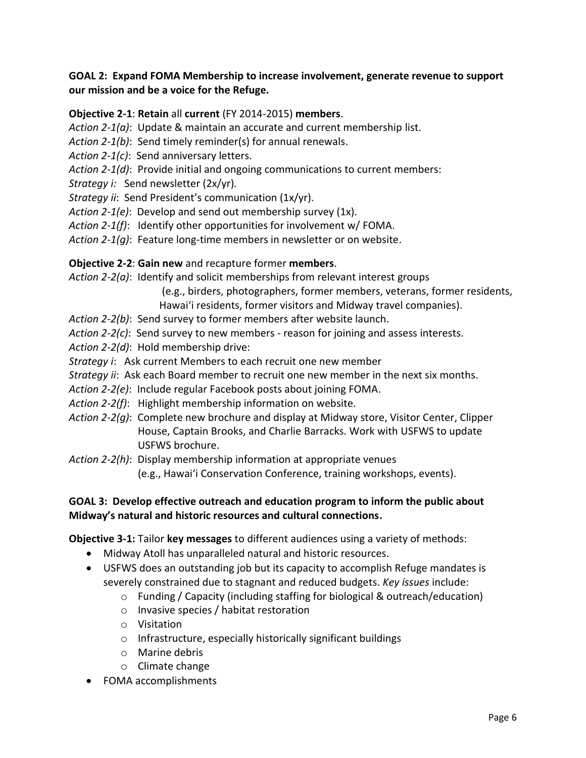## **GOAL 2: Expand FOMA Membership to increase involvement, generate revenue to support our mission and be a voice for the Refuge.**

### **Objective 2-1**: **Retain** all **current** (FY 2014-2015) **members**.

- *Action 2-1(a)*: Update & maintain an accurate and current membership list.
- *Action 2-1(b)*: Send timely reminder(s) for annual renewals.
- *Action 2-1(c)*: Send anniversary letters.
- *Action 2-1(d)*: Provide initial and ongoing communications to current members:
- *Strategy i:* Send newsletter (2x/yr)*.*
- *Strategy ii*: Send President's communication (1x/yr).
- *Action 2-1(e)*: Develop and send out membership survey (1x).
- *Action 2-1(f)*: Identify other opportunities for involvement w/ FOMA.
- *Action 2-1(g)*: Feature long-time members in newsletter or on website.

#### **Objective 2-2**: **Gain new** and recapture former **members**.

*Action 2-2(a)*: Identify and solicit memberships from relevant interest groups

(e.g., birders, photographers, former members, veterans, former residents,

- Hawai'i residents, former visitors and Midway travel companies).
- *Action 2-2(b)*: Send survey to former members after website launch.
- *Action 2-2(c)*: Send survey to new members reason for joining and assess interests.
- *Action 2-2(d)*: Hold membership drive:
- *Strategy i*: Ask current Members to each recruit one new member
- *Strategy ii*: Ask each Board member to recruit one new member in the next six months.
- *Action 2-2(e)*: Include regular Facebook posts about joining FOMA.
- *Action 2-2(f)*: Highlight membership information on website.
- *Action 2-2(g)*: Complete new brochure and display at Midway store, Visitor Center, Clipper House, Captain Brooks, and Charlie Barracks. Work with USFWS to update USFWS brochure.

*Action 2-2(h)*: Display membership information at appropriate venues

(e.g., Hawai'i Conservation Conference, training workshops, events).

#### **GOAL 3: Develop effective outreach and education program to inform the public about Midway's natural and historic resources and cultural connections.**

# **Objective 3-1:** Tailor **key messages** to different audiences using a variety of methods:

- Midway Atoll has unparalleled natural and historic resources.
- USFWS does an outstanding job but its capacity to accomplish Refuge mandates is severely constrained due to stagnant and reduced budgets. *Key issues* include:
	- $\circ$  Funding / Capacity (including staffing for biological & outreach/education)
	- o Invasive species / habitat restoration
	- o Visitation
	- o Infrastructure, especially historically significant buildings
	- o Marine debris
	- o Climate change
- FOMA accomplishments